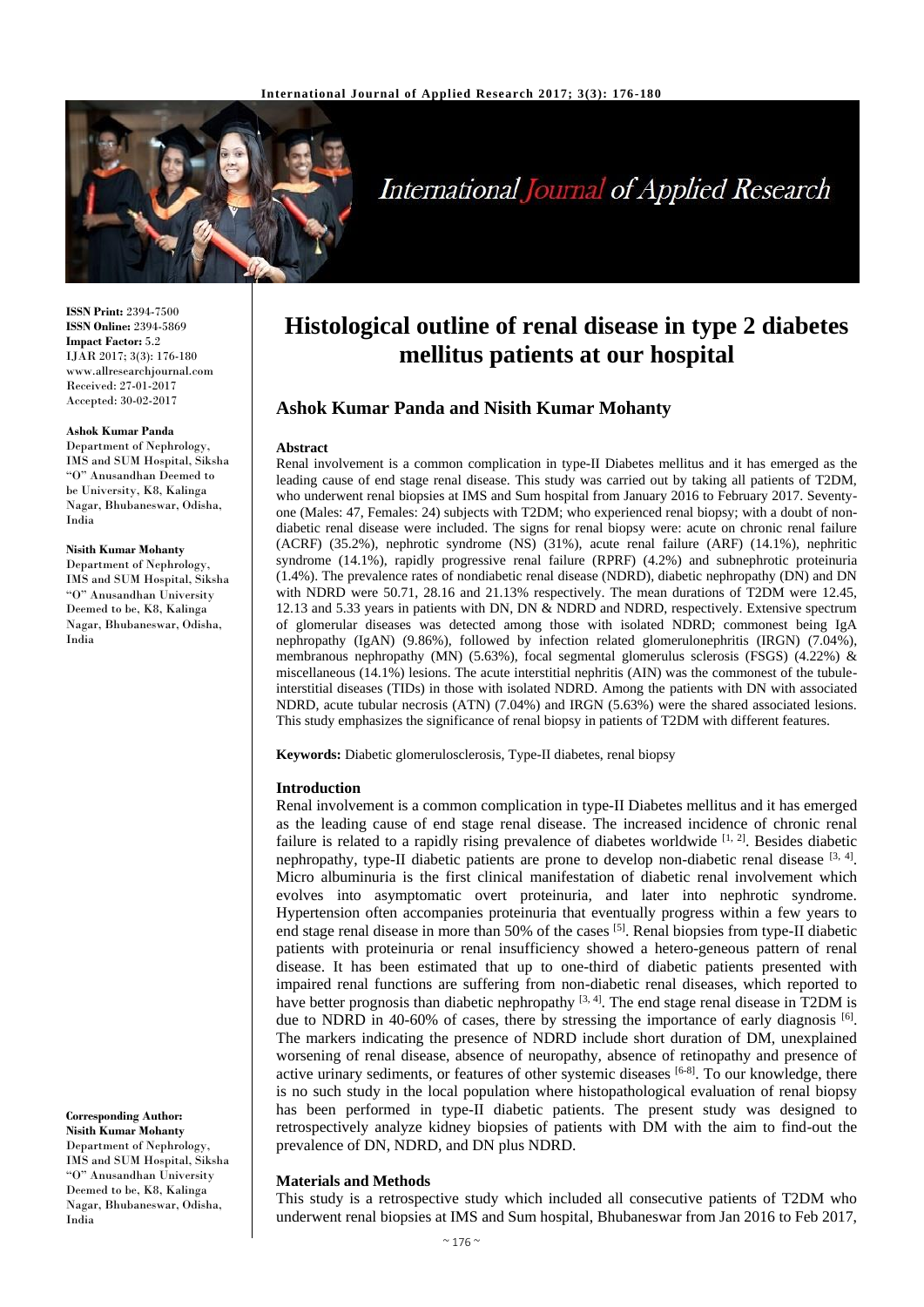

# **International Journal of Applied Research**

**ISSN Print:** 2394-7500 **ISSN Online:** 2394-5869 **Impact Factor:** 5.2 IJAR 2017; 3(3): 176-180 www.allresearchjournal.com Received: 27-01-2017 Accepted: 30-02-2017

#### **Ashok Kumar Panda**

Department of Nephrology, IMS and SUM Hospital, Siksha "O" Anusandhan Deemed to be University, K8, Kalinga Nagar, Bhubaneswar, Odisha, India

#### **Nisith Kumar Mohanty**

Department of Nephrology, IMS and SUM Hospital, Siksha "O" Anusandhan University Deemed to be, K8, Kalinga Nagar, Bhubaneswar, Odisha, India

**Corresponding Author: Nisith Kumar Mohanty** Department of Nephrology, IMS and SUM Hospital, Siksha "O" Anusandhan University Deemed to be, K8, Kalinga Nagar, Bhubaneswar, Odisha, India

## **Histological outline of renal disease in type 2 diabetes mellitus patients at our hospital**

## **Ashok Kumar Panda and Nisith Kumar Mohanty**

#### **Abstract**

Renal involvement is a common complication in type-II Diabetes mellitus and it has emerged as the leading cause of end stage renal disease. This study was carried out by taking all patients of T2DM, who underwent renal biopsies at IMS and Sum hospital from January 2016 to February 2017. Seventyone (Males: 47, Females: 24) subjects with T2DM; who experienced renal biopsy; with a doubt of nondiabetic renal disease were included. The signs for renal biopsy were: acute on chronic renal failure (ACRF) (35.2%), nephrotic syndrome (NS) (31%), acute renal failure (ARF) (14.1%), nephritic syndrome (14.1%), rapidly progressive renal failure (RPRF) (4.2%) and subnephrotic proteinuria (1.4%). The prevalence rates of nondiabetic renal disease (NDRD), diabetic nephropathy (DN) and DN with NDRD were 50.71, 28.16 and 21.13% respectively. The mean durations of T2DM were 12.45, 12.13 and 5.33 years in patients with DN, DN & NDRD and NDRD, respectively. Extensive spectrum of glomerular diseases was detected among those with isolated NDRD; commonest being IgA nephropathy (IgAN) (9.86%), followed by infection related glomerulonephritis (IRGN) (7.04%), membranous nephropathy (MN) (5.63%), focal segmental glomerulus sclerosis (FSGS) (4.22%)  $\&$ miscellaneous (14.1%) lesions. The acute interstitial nephritis (AIN) was the commonest of the tubuleinterstitial diseases (TIDs) in those with isolated NDRD. Among the patients with DN with associated NDRD, acute tubular necrosis (ATN) (7.04%) and IRGN (5.63%) were the shared associated lesions. This study emphasizes the significance of renal biopsy in patients of T2DM with different features.

**Keywords:** Diabetic glomerulosclerosis, Type-II diabetes, renal biopsy

#### **Introduction**

Renal involvement is a common complication in type-II Diabetes mellitus and it has emerged as the leading cause of end stage renal disease. The increased incidence of chronic renal failure is related to a rapidly rising prevalence of diabetes worldwide [1, 2]. Besides diabetic nephropathy, type-II diabetic patients are prone to develop non-diabetic renal disease  $[3, 4]$ . Micro albuminuria is the first clinical manifestation of diabetic renal involvement which evolves into asymptomatic overt proteinuria, and later into nephrotic syndrome. Hypertension often accompanies proteinuria that eventually progress within a few years to end stage renal disease in more than 50% of the cases [5]. Renal biopsies from type-II diabetic patients with proteinuria or renal insufficiency showed a hetero-geneous pattern of renal disease. It has been estimated that up to one-third of diabetic patients presented with impaired renal functions are suffering from non-diabetic renal diseases, which reported to have better prognosis than diabetic nephropathy  $[3, 4]$ . The end stage renal disease in T2DM is due to NDRD in 40-60% of cases, there by stressing the importance of early diagnosis [6]. The markers indicating the presence of NDRD include short duration of DM, unexplained worsening of renal disease, absence of neuropathy, absence of retinopathy and presence of active urinary sediments, or features of other systemic diseases [6-8]. To our knowledge, there is no such study in the local population where histopathological evaluation of renal biopsy has been performed in type-II diabetic patients. The present study was designed to retrospectively analyze kidney biopsies of patients with DM with the aim to find-out the prevalence of DN, NDRD, and DN plus NDRD.

#### **Materials and Methods**

This study is a retrospective study which included all consecutive patients of T2DM who underwent renal biopsies at IMS and Sum hospital, Bhubaneswar from Jan 2016 to Feb 2017,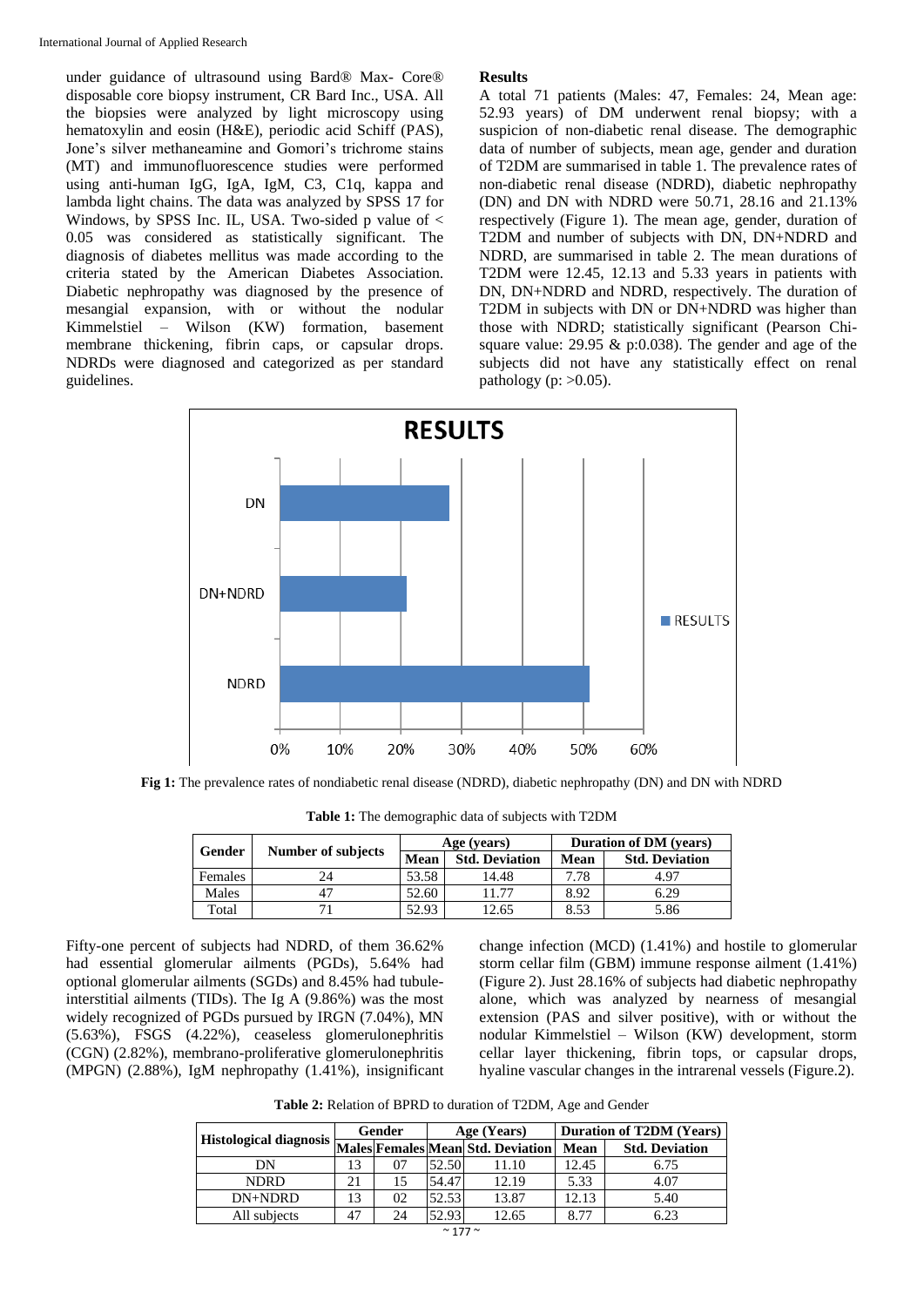under guidance of ultrasound using Bard® Max- Core® disposable core biopsy instrument, CR Bard Inc., USA. All the biopsies were analyzed by light microscopy using hematoxylin and eosin (H&E), periodic acid Schiff (PAS), Jone's silver methaneamine and Gomori's trichrome stains (MT) and immunofluorescence studies were performed using anti-human IgG, IgA, IgM, C3, C1q, kappa and lambda light chains. The data was analyzed by SPSS 17 for Windows, by SPSS Inc. IL, USA. Two-sided p value of  $\lt$ 0.05 was considered as statistically significant. The diagnosis of diabetes mellitus was made according to the criteria stated by the American Diabetes Association. Diabetic nephropathy was diagnosed by the presence of mesangial expansion, with or without the nodular Kimmelstiel – Wilson (KW) formation, basement membrane thickening, fibrin caps, or capsular drops. NDRDs were diagnosed and categorized as per standard guidelines.

#### **Results**

A total 71 patients (Males: 47, Females: 24, Mean age: 52.93 years) of DM underwent renal biopsy; with a suspicion of non-diabetic renal disease. The demographic data of number of subjects, mean age, gender and duration of T2DM are summarised in table 1. The prevalence rates of non-diabetic renal disease (NDRD), diabetic nephropathy (DN) and DN with NDRD were 50.71, 28.16 and 21.13% respectively (Figure 1). The mean age, gender, duration of T2DM and number of subjects with DN, DN+NDRD and NDRD, are summarised in table 2. The mean durations of T2DM were 12.45, 12.13 and 5.33 years in patients with DN, DN+NDRD and NDRD, respectively. The duration of T2DM in subjects with DN or DN+NDRD was higher than those with NDRD; statistically significant (Pearson Chisquare value: 29.95 & p:0.038). The gender and age of the subjects did not have any statistically effect on renal pathology (p:  $>0.05$ ).



**Fig 1:** The prevalence rates of nondiabetic renal disease (NDRD), diabetic nephropathy (DN) and DN with NDRD

| Gender  | <b>Number of subjects</b> |       | Age (years)           | <b>Duration of DM</b> (years) |                       |
|---------|---------------------------|-------|-----------------------|-------------------------------|-----------------------|
|         |                           | Mean  | <b>Std. Deviation</b> | Mean                          | <b>Std. Deviation</b> |
| Females | 24                        | 53.58 | 14.48                 | 7.78                          | 4.97                  |
| Males   | 47                        | 52.60 | 11.77                 | 8.92                          | 6.29                  |
| Total   |                           | 52.93 | 2.65                  | 8.53                          | 5.86                  |

**Table 1:** The demographic data of subjects with T2DM

Fifty-one percent of subjects had NDRD, of them 36.62% had essential glomerular ailments (PGDs), 5.64% had optional glomerular ailments (SGDs) and 8.45% had tubuleinterstitial ailments (TIDs). The Ig A (9.86%) was the most widely recognized of PGDs pursued by IRGN (7.04%), MN (5.63%), FSGS (4.22%), ceaseless glomerulonephritis (CGN) (2.82%), membrano-proliferative glomerulonephritis (MPGN) (2.88%), IgM nephropathy (1.41%), insignificant change infection (MCD) (1.41%) and hostile to glomerular storm cellar film (GBM) immune response ailment (1.41%) (Figure 2). Just 28.16% of subjects had diabetic nephropathy alone, which was analyzed by nearness of mesangial extension (PAS and silver positive), with or without the nodular Kimmelstiel – Wilson (KW) development, storm cellar layer thickening, fibrin tops, or capsular drops, hyaline vascular changes in the intrarenal vessels (Figure.2).

**Table 2:** Relation of BPRD to duration of T2DM, Age and Gender

|                                                          | Gender |    | Age (Years) |       | <b>Duration of T2DM (Years)</b> |                       |
|----------------------------------------------------------|--------|----|-------------|-------|---------------------------------|-----------------------|
| Histological diagnosis Males Females Mean Std. Deviation |        |    |             |       | Mean                            | <b>Std. Deviation</b> |
| DN                                                       | 13     | 07 | 52.50       | 11.10 | 12.45                           | 6.75                  |
| <b>NDRD</b>                                              | 21     | 15 | 54.47       | 12.19 | 5.33                            | 4.07                  |
| DN+NDRD                                                  | 13     | 02 | 52.53       | 13.87 | 12.13                           | 5.40                  |
| All subjects                                             | 47     | 24 | 52.93       | 12.65 | 8.77                            | 6.23                  |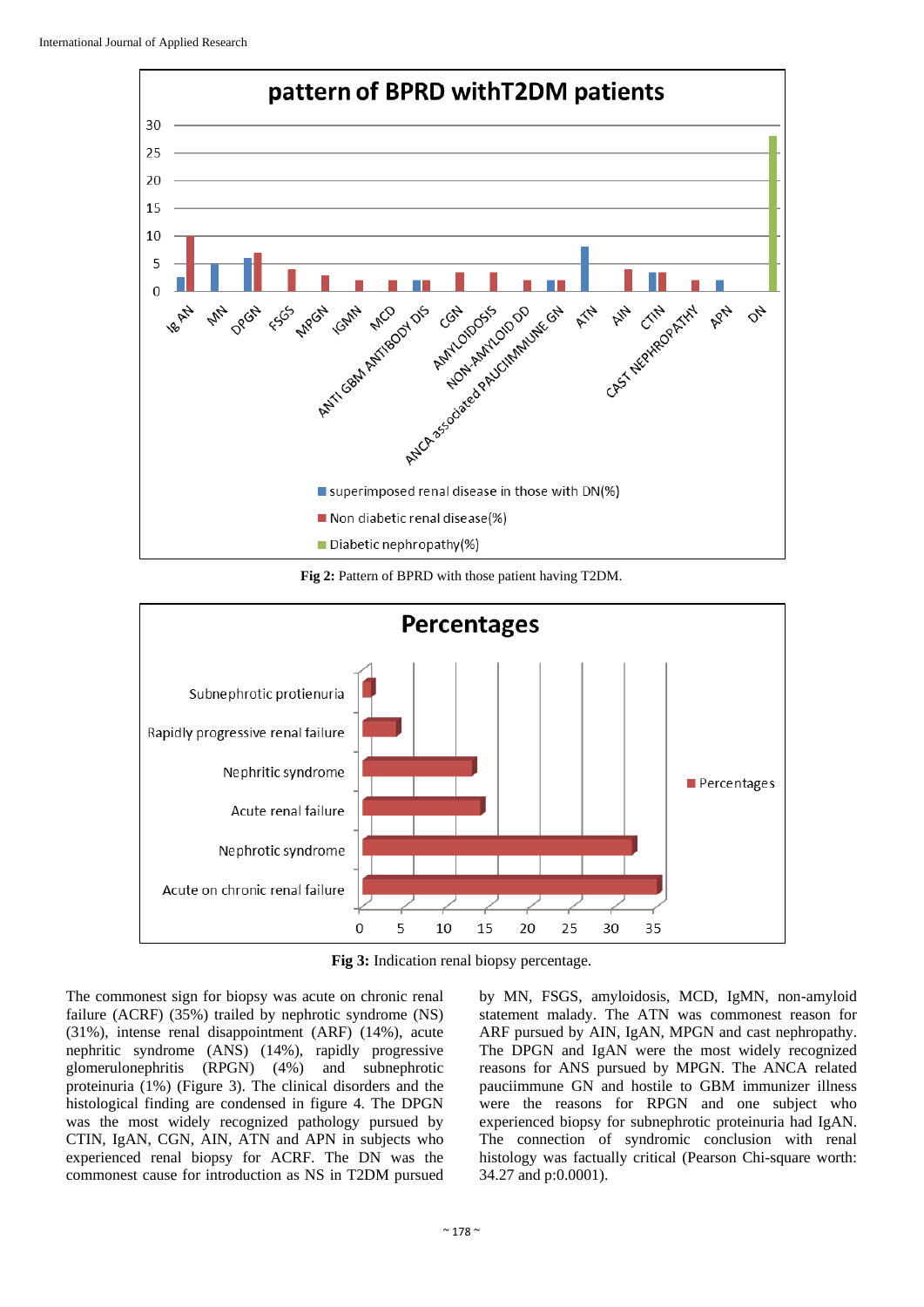

**Fig 2:** Pattern of BPRD with those patient having T2DM.



**Fig 3:** Indication renal biopsy percentage.

The commonest sign for biopsy was acute on chronic renal failure (ACRF) (35%) trailed by nephrotic syndrome (NS) (31%), intense renal disappointment (ARF) (14%), acute nephritic syndrome (ANS) (14%), rapidly progressive glomerulonephritis (RPGN) (4%) and subnephrotic proteinuria (1%) (Figure 3). The clinical disorders and the histological finding are condensed in figure 4. The DPGN was the most widely recognized pathology pursued by CTIN, IgAN, CGN, AIN, ATN and APN in subjects who experienced renal biopsy for ACRF. The DN was the commonest cause for introduction as NS in T2DM pursued

by MN, FSGS, amyloidosis, MCD, IgMN, non-amyloid statement malady. The ATN was commonest reason for ARF pursued by AIN, IgAN, MPGN and cast nephropathy. The DPGN and IgAN were the most widely recognized reasons for ANS pursued by MPGN. The ANCA related pauciimmune GN and hostile to GBM immunizer illness were the reasons for RPGN and one subject who experienced biopsy for subnephrotic proteinuria had IgAN. The connection of syndromic conclusion with renal histology was factually critical (Pearson Chi-square worth: 34.27 and p:0.0001).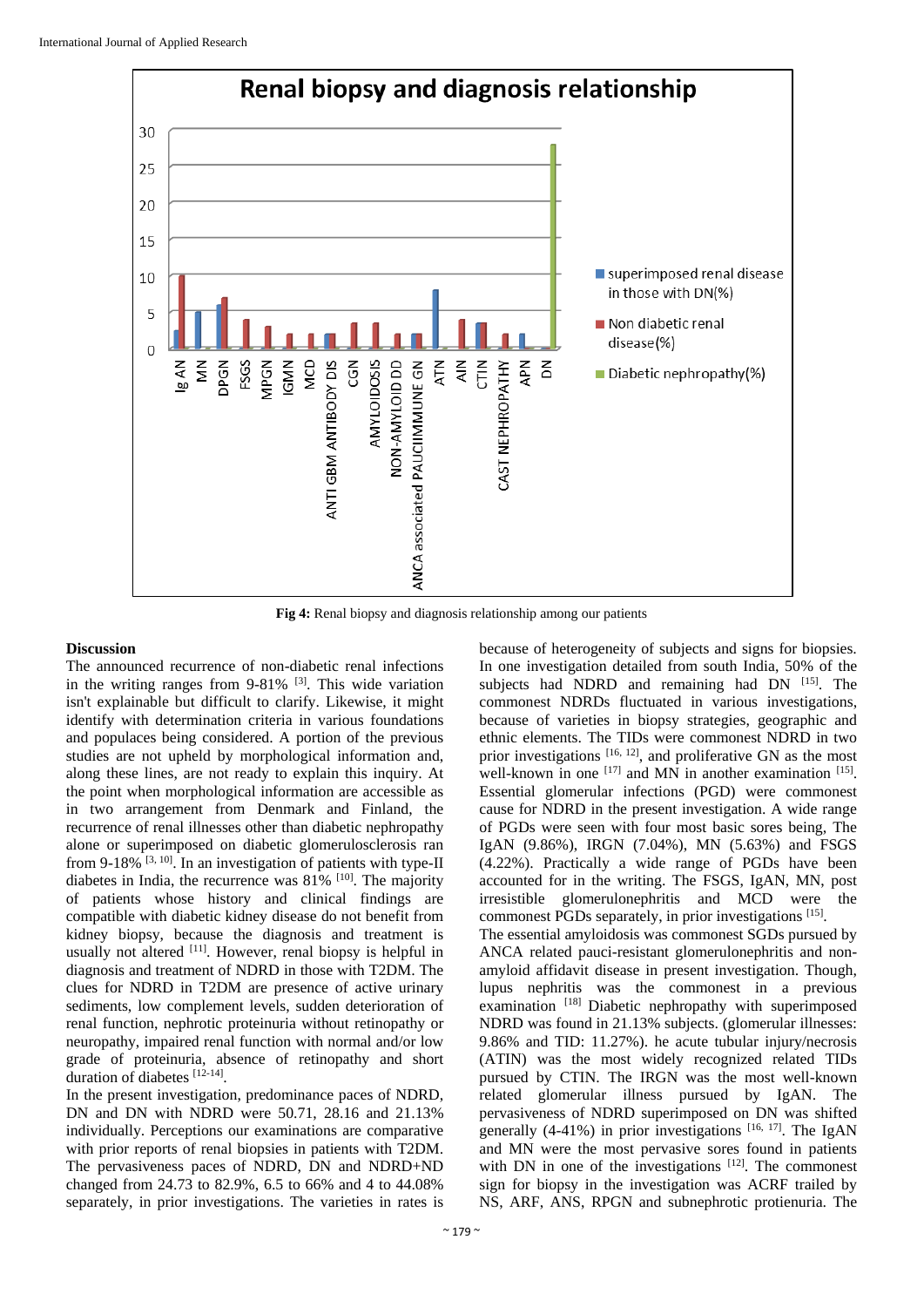

**Fig 4:** Renal biopsy and diagnosis relationship among our patients

### **Discussion**

The announced recurrence of non-diabetic renal infections in the writing ranges from  $9-81\%$  <sup>[3]</sup>. This wide variation isn't explainable but difficult to clarify. Likewise, it might identify with determination criteria in various foundations and populaces being considered. A portion of the previous studies are not upheld by morphological information and, along these lines, are not ready to explain this inquiry. At the point when morphological information are accessible as in two arrangement from Denmark and Finland, the recurrence of renal illnesses other than diabetic nephropathy alone or superimposed on diabetic glomerulosclerosis ran from 9-18%  $[3, 10]$ . In an investigation of patients with type-II diabetes in India, the recurrence was 81% <sup>[10]</sup>. The majority of patients whose history and clinical findings are compatible with diabetic kidney disease do not benefit from kidney biopsy, because the diagnosis and treatment is usually not altered [11]. However, renal biopsy is helpful in diagnosis and treatment of NDRD in those with T2DM. The clues for NDRD in T2DM are presence of active urinary sediments, low complement levels, sudden deterioration of renal function, nephrotic proteinuria without retinopathy or neuropathy, impaired renal function with normal and/or low grade of proteinuria, absence of retinopathy and short duration of diabetes [12-14].

In the present investigation, predominance paces of NDRD, DN and DN with NDRD were 50.71, 28.16 and 21.13% individually. Perceptions our examinations are comparative with prior reports of renal biopsies in patients with T2DM. The pervasiveness paces of NDRD, DN and NDRD+ND changed from 24.73 to 82.9%, 6.5 to 66% and 4 to 44.08% separately, in prior investigations. The varieties in rates is

because of heterogeneity of subjects and signs for biopsies. In one investigation detailed from south India, 50% of the subjects had NDRD and remaining had DN [15]. The commonest NDRDs fluctuated in various investigations, because of varieties in biopsy strategies, geographic and ethnic elements. The TIDs were commonest NDRD in two prior investigations [16, 12], and proliferative GN as the most well-known in one  $[17]$  and MN in another examination  $[15]$ . Essential glomerular infections (PGD) were commonest cause for NDRD in the present investigation. A wide range of PGDs were seen with four most basic sores being, The IgAN (9.86%), IRGN (7.04%), MN (5.63%) and FSGS (4.22%). Practically a wide range of PGDs have been accounted for in the writing. The FSGS, IgAN, MN, post irresistible glomerulonephritis and MCD were the commonest PGDs separately, in prior investigations [15] . The essential amyloidosis was commonest SGDs pursued by ANCA related pauci-resistant glomerulonephritis and nonamyloid affidavit disease in present investigation. Though, lupus nephritis was the commonest in a previous examination [18] Diabetic nephropathy with superimposed NDRD was found in 21.13% subjects. (glomerular illnesses: 9.86% and TID: 11.27%). he acute tubular injury/necrosis (ATIN) was the most widely recognized related TIDs pursued by CTIN. The IRGN was the most well-known related glomerular illness pursued by IgAN. The pervasiveness of NDRD superimposed on DN was shifted generally  $(4-41\%)$  in prior investigations [16, 17]. The IgAN and MN were the most pervasive sores found in patients with DN in one of the investigations  $[12]$ . The commonest sign for biopsy in the investigation was ACRF trailed by

NS, ARF, ANS, RPGN and subnephrotic protienuria. The